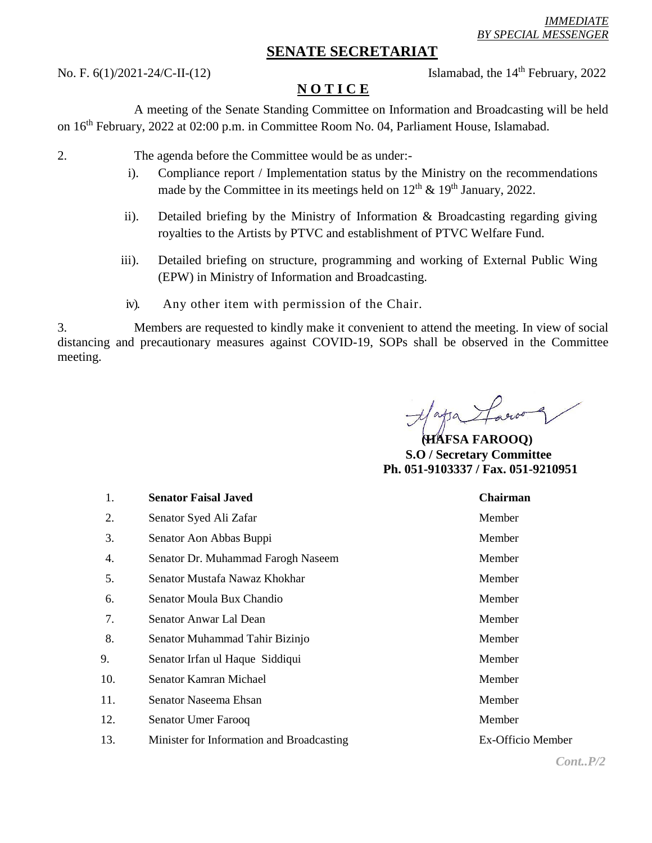## **SENATE SECRETARIAT**

No. F. 6(1)/2021-24/C-II-(12) Islamabad, the 14<sup>th</sup> February, 2022

## **N O T I C E**

A meeting of the Senate Standing Committee on Information and Broadcasting will be held on 16th February, 2022 at 02:00 p.m. in Committee Room No. 04, Parliament House, Islamabad.

- 2. The agenda before the Committee would be as under:
	- i). Compliance report / Implementation status by the Ministry on the recommendations made by the Committee in its meetings held on  $12<sup>th</sup> \& 19<sup>th</sup>$  January, 2022.
	- ii). Detailed briefing by the Ministry of Information & Broadcasting regarding giving royalties to the Artists by PTVC and establishment of PTVC Welfare Fund.
	- iii). Detailed briefing on structure, programming and working of External Public Wing (EPW) in Ministry of Information and Broadcasting.
	- iv). Any other item with permission of the Chair.

3. Members are requested to kindly make it convenient to attend the meeting. In view of social distancing and precautionary measures against COVID-19, SOPs shall be observed in the Committee meeting.

 **(HAFSA FAROOQ) S.O / Secretary Committee Ph. 051-9103337 / Fax. 051-9210951**

| 1.  | <b>Senator Faisal Javed</b>               | <b>Chairman</b>   |
|-----|-------------------------------------------|-------------------|
| 2.  | Senator Syed Ali Zafar                    | Member            |
| 3.  | Senator Aon Abbas Buppi                   | Member            |
| 4.  | Senator Dr. Muhammad Farogh Naseem        | Member            |
| 5.  | Senator Mustafa Nawaz Khokhar             | Member            |
| 6.  | Senator Moula Bux Chandio                 | Member            |
| 7.  | Senator Anwar Lal Dean                    | Member            |
| 8.  | Senator Muhammad Tahir Bizinjo            | Member            |
| 9.  | Senator Irfan ul Haque Siddiqui           | Member            |
| 10. | Senator Kamran Michael                    | Member            |
| 11. | Senator Naseema Ehsan                     | Member            |
| 12. | Senator Umer Farooq                       | Member            |
| 13. | Minister for Information and Broadcasting | Ex-Officio Member |